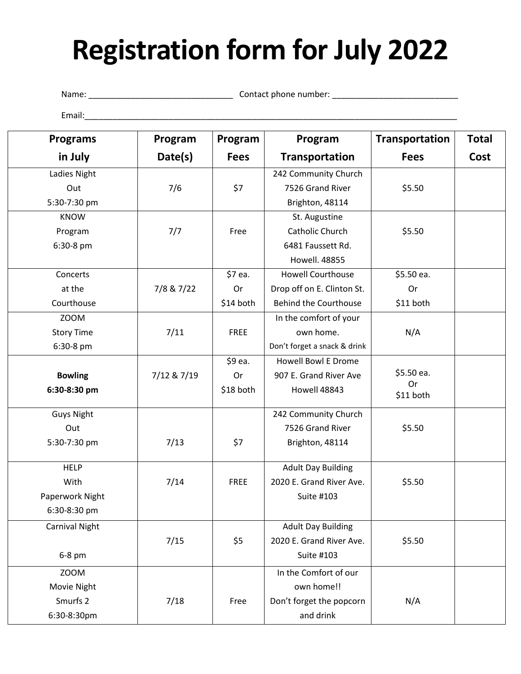# **Registration form for July 2022**

Name: \_\_\_\_\_\_\_\_\_\_\_\_\_\_\_\_\_\_\_\_\_\_\_\_\_\_\_\_\_\_\_ Contact phone number: \_\_\_\_\_\_\_\_\_\_\_\_\_\_\_\_\_\_\_\_\_\_\_\_\_\_\_

Email:\_\_\_\_\_\_\_\_\_\_\_\_\_\_\_\_\_\_\_\_\_\_\_\_\_\_\_\_\_\_\_\_\_\_\_\_\_\_\_\_\_\_\_\_\_\_\_\_\_\_\_\_\_\_\_\_\_\_\_\_\_\_\_\_\_\_\_\_\_\_\_\_\_\_\_\_\_\_\_\_

| <b>Programs</b>       | Program     | Program     | Program                      | Transportation  | <b>Total</b> |
|-----------------------|-------------|-------------|------------------------------|-----------------|--------------|
| in July               | Date(s)     | <b>Fees</b> | <b>Transportation</b>        | <b>Fees</b>     | Cost         |
| Ladies Night          |             |             | 242 Community Church         |                 |              |
| Out                   | 7/6         | \$7         | 7526 Grand River             | \$5.50          |              |
| 5:30-7:30 pm          |             |             | Brighton, 48114              |                 |              |
| <b>KNOW</b>           |             |             | St. Augustine                |                 |              |
| Program               | 7/7         | Free        | <b>Catholic Church</b>       | \$5.50          |              |
| 6:30-8 pm             |             |             | 6481 Faussett Rd.            |                 |              |
|                       |             |             | Howell. 48855                |                 |              |
| Concerts              |             | \$7 ea.     | <b>Howell Courthouse</b>     | \$5.50 ea.      |              |
| at the                | 7/8 & 7/22  | Or          | Drop off on E. Clinton St.   | Or              |              |
| Courthouse            |             | \$14 both   | <b>Behind the Courthouse</b> | \$11 both       |              |
| <b>ZOOM</b>           |             |             | In the comfort of your       |                 |              |
| <b>Story Time</b>     | 7/11        | <b>FREE</b> | own home.                    | N/A             |              |
| 6:30-8 pm             |             |             | Don't forget a snack & drink |                 |              |
|                       |             | \$9 ea.     | <b>Howell Bowl E Drome</b>   |                 |              |
| <b>Bowling</b>        | 7/12 & 7/19 | Or          | 907 E. Grand River Ave       | \$5.50 ea.      |              |
| 6:30-8:30 pm          |             | \$18 both   | Howell 48843                 | Or<br>\$11 both |              |
| <b>Guys Night</b>     |             |             | 242 Community Church         |                 |              |
| Out                   |             |             | 7526 Grand River             | \$5.50          |              |
| 5:30-7:30 pm          | 7/13        | \$7         | Brighton, 48114              |                 |              |
| <b>HELP</b>           |             |             | <b>Adult Day Building</b>    |                 |              |
| With                  | 7/14        | <b>FREE</b> | 2020 E. Grand River Ave.     | \$5.50          |              |
| Paperwork Night       |             |             | Suite #103                   |                 |              |
| 6:30-8:30 pm          |             |             |                              |                 |              |
| <b>Carnival Night</b> |             |             | <b>Adult Day Building</b>    |                 |              |
|                       | 7/15        | \$5         | 2020 E. Grand River Ave.     | \$5.50          |              |
| 6-8 pm                |             |             | Suite #103                   |                 |              |
| <b>ZOOM</b>           |             |             | In the Comfort of our        |                 |              |
| Movie Night           |             |             | own home!!                   |                 |              |
| Smurfs 2              | 7/18        | Free        | Don't forget the popcorn     | N/A             |              |
| 6:30-8:30pm           |             |             | and drink                    |                 |              |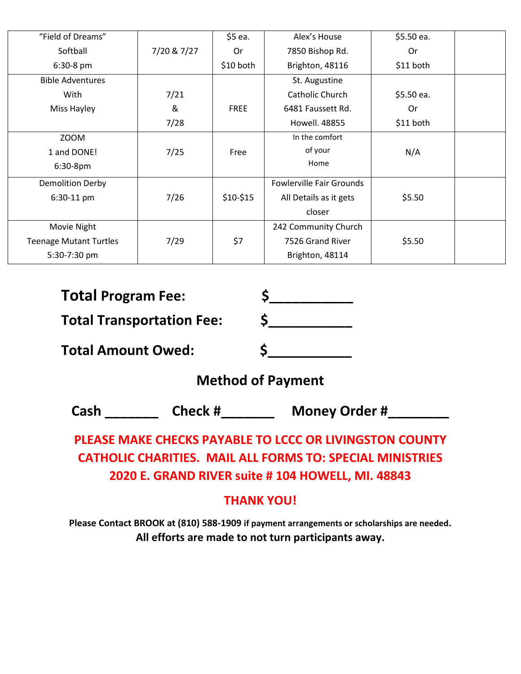| "Field of Dreams"             |             | \$5 ea.     | Alex's House                    | \$5.50 ea. |  |
|-------------------------------|-------------|-------------|---------------------------------|------------|--|
| Softball                      | 7/20 & 7/27 | Or          | 7850 Bishop Rd.                 | 0r         |  |
| 6:30-8 pm                     |             | \$10 both   | Brighton, 48116                 | \$11 both  |  |
| <b>Bible Adventures</b>       |             |             | St. Augustine                   |            |  |
| With                          | 7/21        |             | Catholic Church                 | \$5.50 ea. |  |
| Miss Hayley                   | &           | <b>FREE</b> | 6481 Faussett Rd.               | 0r         |  |
|                               | 7/28        |             | Howell. 48855                   | \$11 both  |  |
| <b>ZOOM</b>                   |             |             | In the comfort                  |            |  |
| 1 and DONE!                   | 7/25        | Free        | of your                         | N/A        |  |
| $6:30-8$ pm                   |             |             | Home                            |            |  |
| <b>Demolition Derby</b>       |             |             | <b>Fowlerville Fair Grounds</b> |            |  |
| 6:30-11 pm                    | 7/26        | $$10-$15$   | All Details as it gets          | \$5.50     |  |
|                               |             |             | closer                          |            |  |
| Movie Night                   |             |             | 242 Community Church            |            |  |
| <b>Teenage Mutant Turtles</b> | 7/29        | \$7         | 7526 Grand River                | \$5.50     |  |
| 5:30-7:30 pm                  |             |             | Brighton, 48114                 |            |  |

| <b>Total Program Fee:</b>        |  |
|----------------------------------|--|
| <b>Total Transportation Fee:</b> |  |
| <b>Total Amount Owed:</b>        |  |

### **Method of Payment**

**Cash \_\_\_\_\_\_\_ Check #\_\_\_\_\_\_\_ Money Order #\_\_\_\_\_\_\_\_**

## **PLEASE MAKE CHECKS PAYABLE TO LCCC OR LIVINGSTON COUNTY CATHOLIC CHARITIES. MAIL ALL FORMS TO: SPECIAL MINISTRIES 2020 E. GRAND RIVER suite # 104 HOWELL, MI. 48843**

#### **THANK YOU!**

**Please Contact BROOK at (810) 588-1909 if payment arrangements or scholarships are needed. All efforts are made to not turn participants away.**